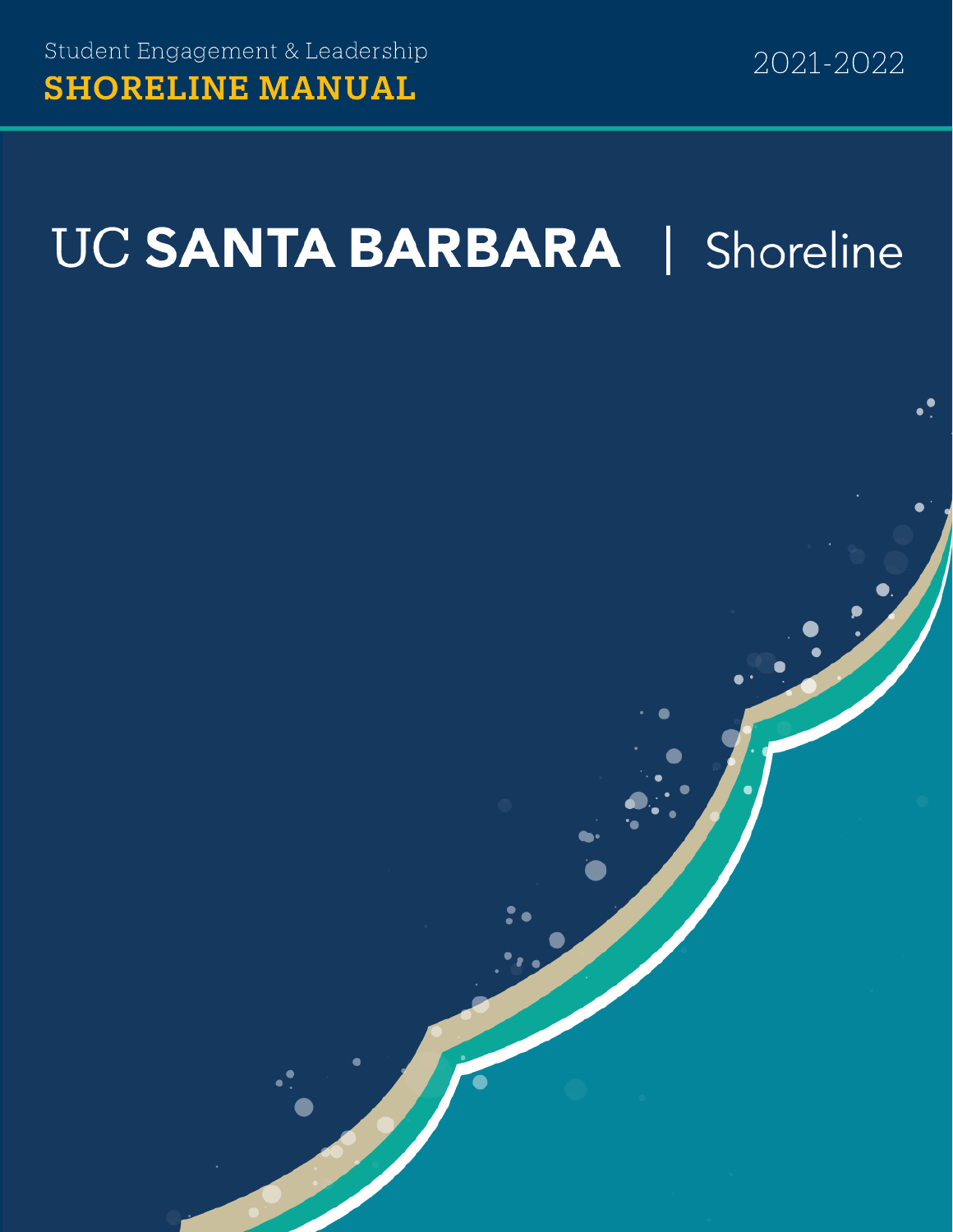# UC SANTA BARBARA | Shoreline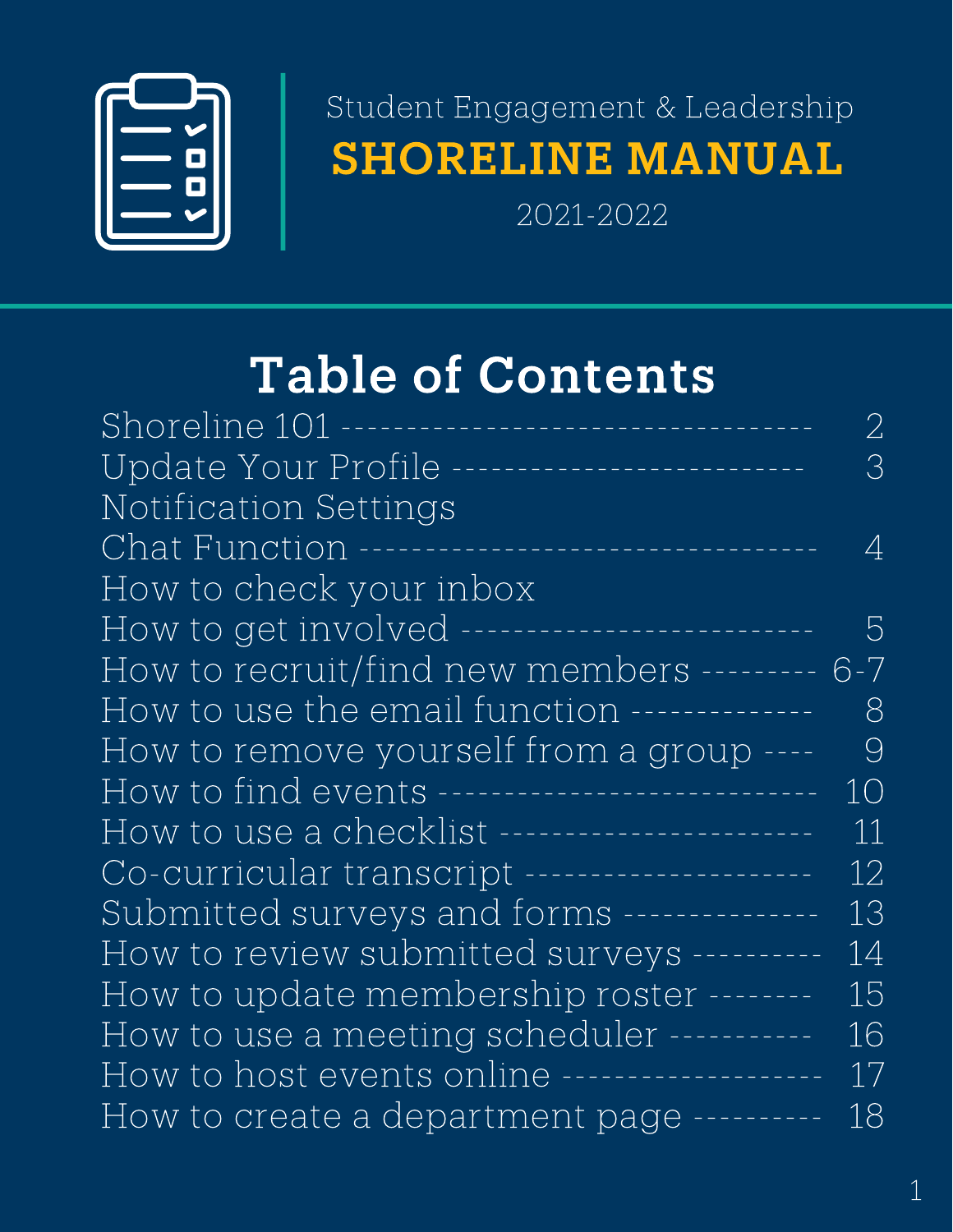

# SHORELINE MANUAL Student Engagement & Leadership

2021-2022

# Table of Contents

| Shoreline 101 -----<br>2                                         |  |
|------------------------------------------------------------------|--|
| Update Your Profile -------------------------<br>$\Im$           |  |
| Notification Settings                                            |  |
| Chat Function ----<br>4<br>. <u>.</u>                            |  |
| How to check your inbox                                          |  |
| How to get involved -------<br>5<br>_____________________        |  |
| How to recruit/find new members -------- 6-7                     |  |
| How to use the email function -------------<br>8                 |  |
| How to remove yourself from a group ----<br>$\Theta$             |  |
| How to find events -----------------------------<br>10           |  |
| How to use a checklist ---------------------<br>$\left  \right $ |  |
| Co-curricular transcript --------------------<br>12              |  |
| Submitted surveys and forms --------------<br>13                 |  |
| How to review submitted surveys ----------<br>14                 |  |
| How to update membership roster --------<br>15                   |  |
| How to use a meeting scheduler -----------<br>16                 |  |
| How to host events online ------------------<br>17               |  |
| How to create a department page ----------<br>18                 |  |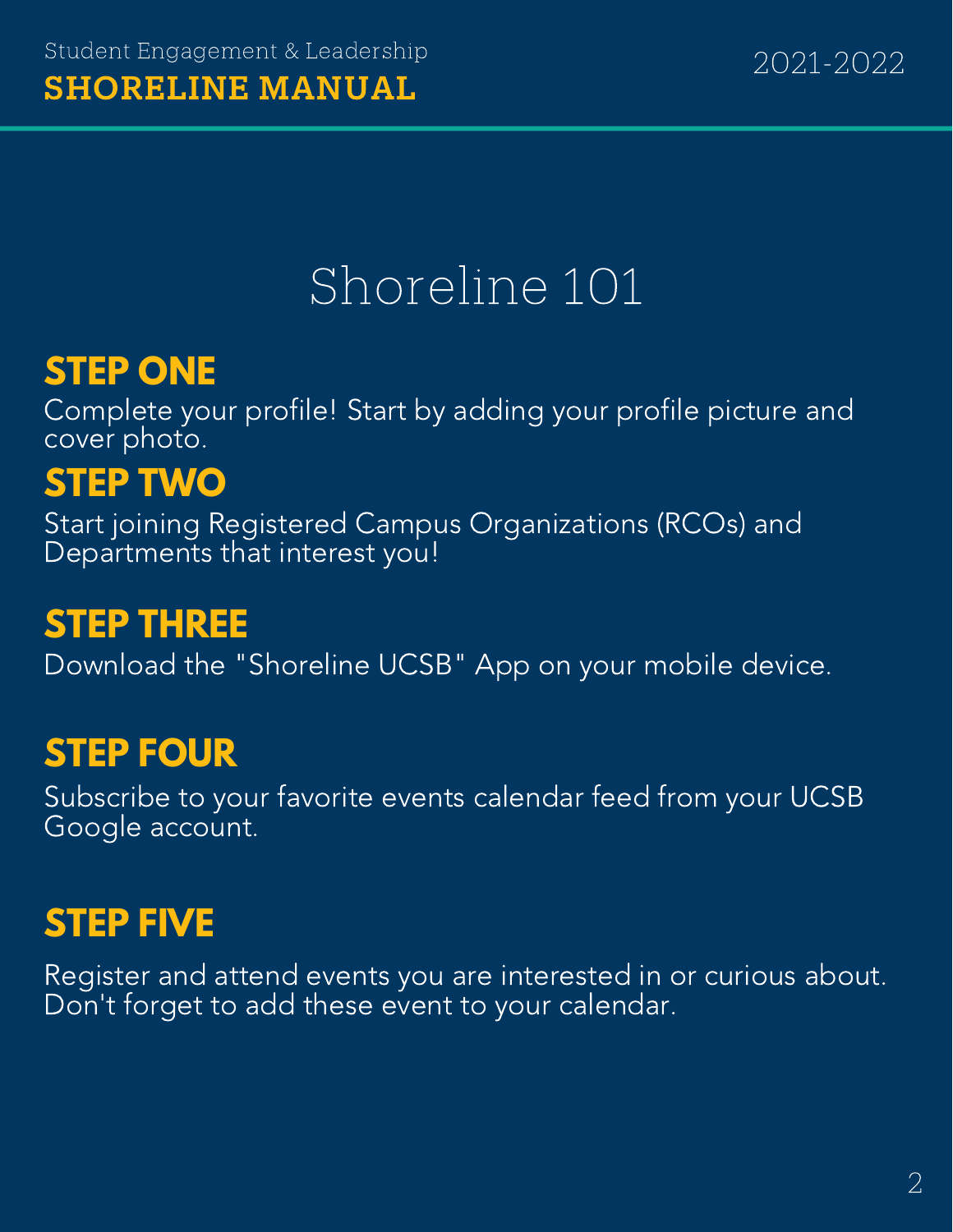# Shoreline 101

# **STEP ONE**

Complete your profile! Start by adding your profile picture and cover photo.

# **STEP TWO**

Start joining Registered Campus Organizations (RCOs) and Departments that interest you!

# **STEP THREE**

Download the "Shoreline UCSB" App on your mobile device.

# **STEP FOUR**

Subscribe to your favorite events calendar feed from your UCSB Google account.

# **STEP FIVE**

Register and attend events you are interested in or curious about. Don't forget to add these event to your calendar.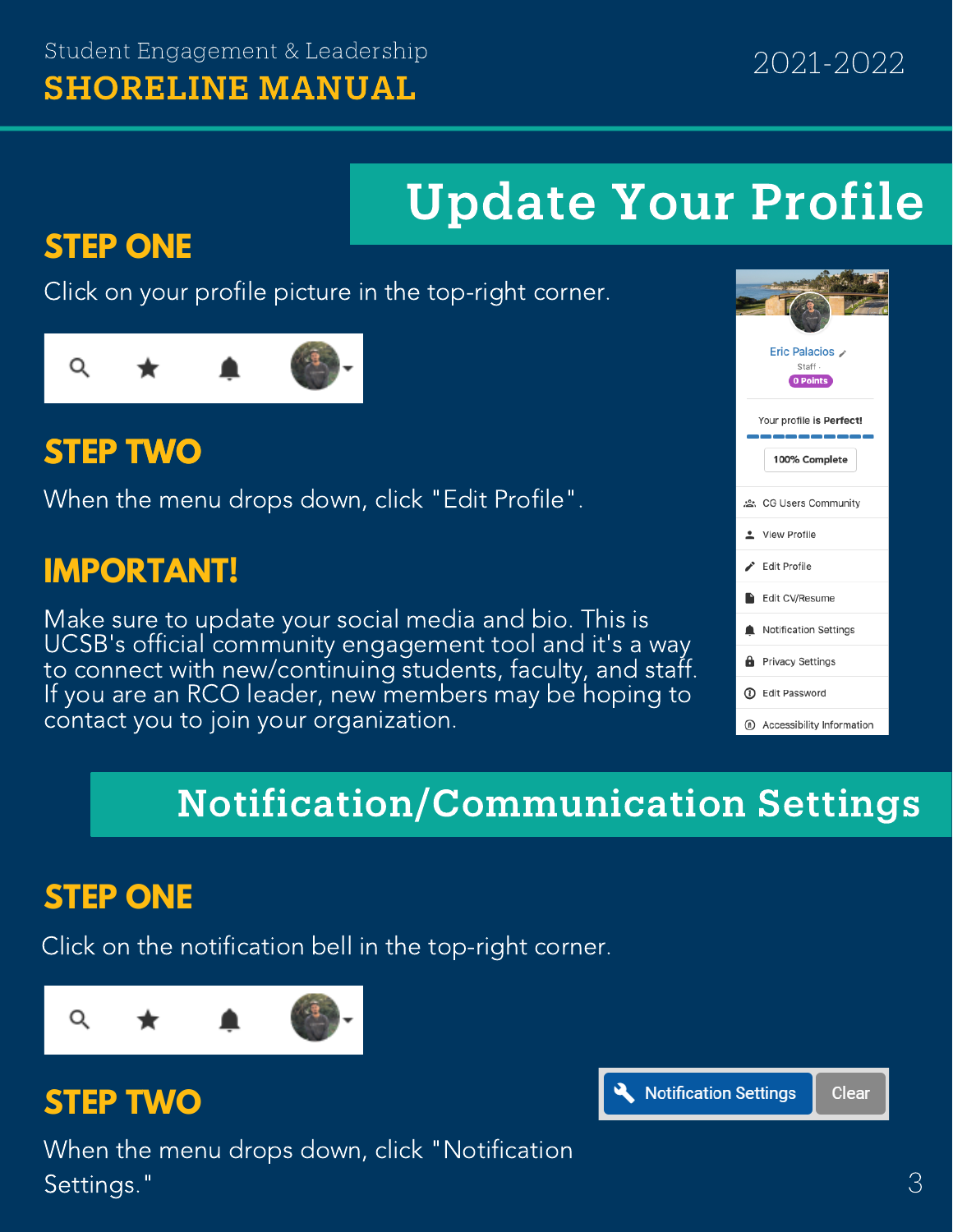# Update Your Profile

#### **STEP ONE**

Click on your profile picture in the top-right corner.

# Q

#### **STEP TWO**

When the menu drops down, click "Edit Profile".

#### **IMPORTANT!**

Make sure to update your social media and bio. This is UCSB's official community engagement tool and it's a way to connect with new/continuing students, faculty, and staff. If you are an RCO leader, new members may be hoping to contact you to join your organization.



# Notification/Communication Settings

#### **STEP ONE**

Click on the notification bell in the top-right corner.



#### **STEP TWO**

When the menu drops down, click "Notification Settings."

**Notification Settings Clear**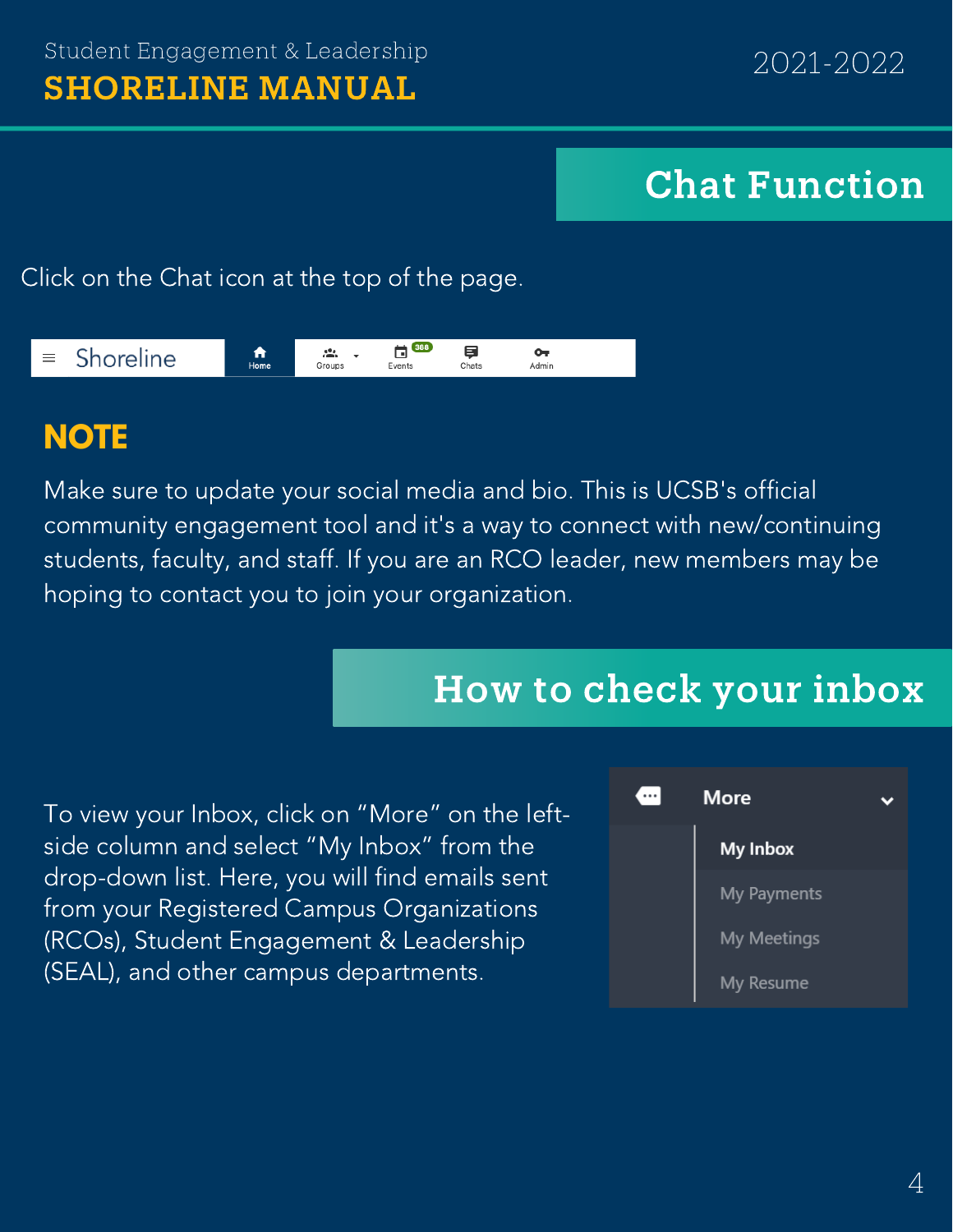# Chat Function

Click on the Chat icon at the top of the page.



### **NOTE**

Make sure to update your social media and bio. This is UCSB's official community engagement tool and it's a way to connect with new/continuing students, faculty, and staff. If you are an RCO leader, new members may be hoping to contact you to join your organization.

# How to check your inbox

To view your Inbox, click on "More" on the leftside column and select "My Inbox" from the drop-down list. Here, you will find emails sent from your Registered Campus Organizations (RCOs), Student Engagement & Leadership (SEAL), and other campus departments.

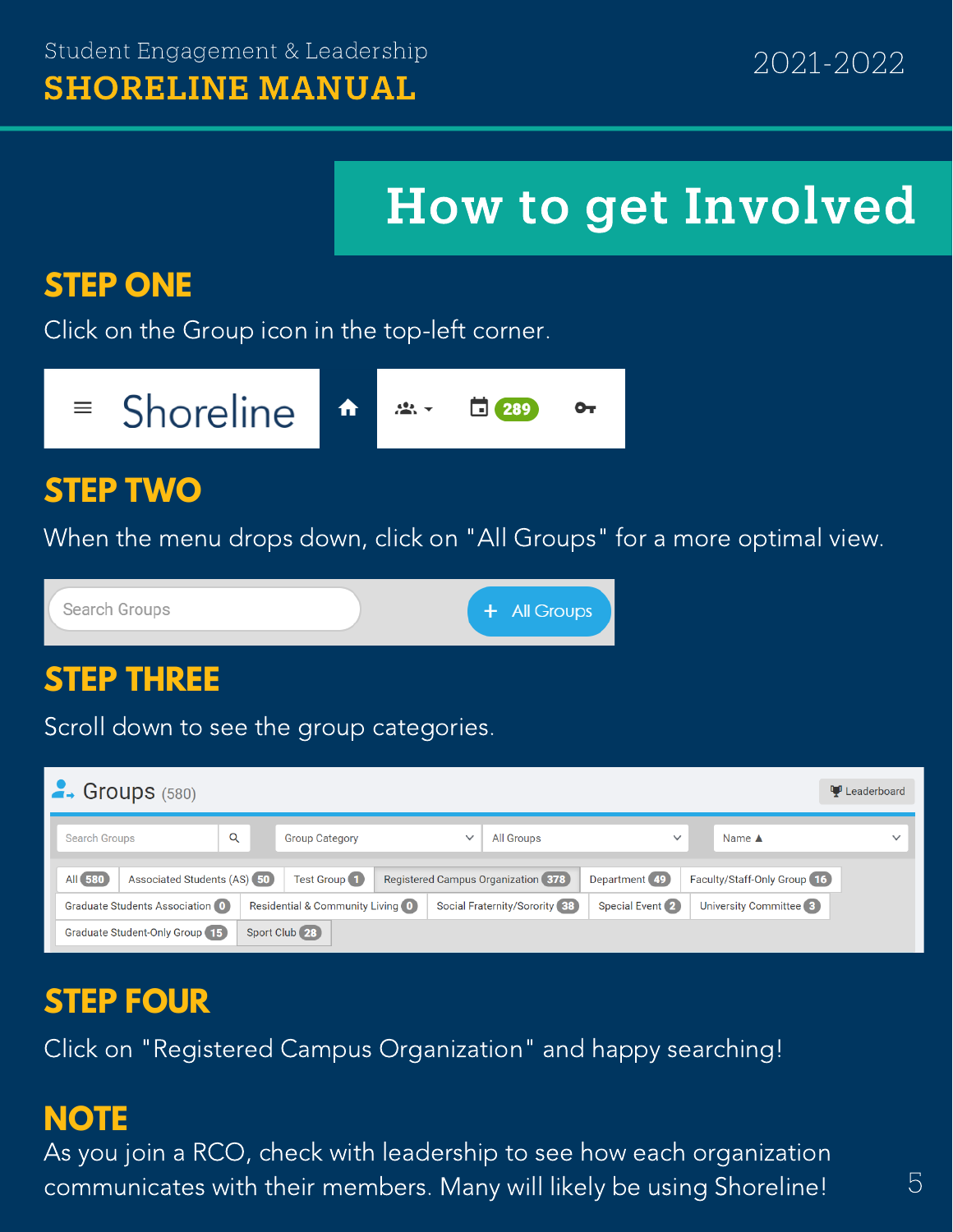# How to get Involved

### **STEP ONE**

Click on the Group icon in the top-left corner.

Shoreline  $\equiv$ 289

#### **STEP TWO**

When the menu drops down, click on "All Groups" for a more optimal view.

Search Groups

+ All Groups

#### **STEP THREE**

Scroll down to see the group categories.

| $\rightarrow$ Groups (580)                    |                                  |                                    |                               |                 |                               | Leaderboard  |
|-----------------------------------------------|----------------------------------|------------------------------------|-------------------------------|-----------------|-------------------------------|--------------|
| Q<br><b>Search Groups</b>                     | <b>Group Category</b>            | $\checkmark$                       | All Groups                    | $\checkmark$    | Name $\triangle$              | $\checkmark$ |
| All <b>580</b><br>Associated Students (AS) 50 | Test Group <sup>1</sup>          | Registered Campus Organization 378 |                               | Department 49   | Faculty/Staff-Only Group (16) |              |
| Graduate Students Association (0)             | Residential & Community Living 0 |                                    | Social Fraternity/Sorority 38 | Special Event 2 | University Committee 3        |              |
| Graduate Student-Only Group 15                | Sport Club (28)                  |                                    |                               |                 |                               |              |

#### **STEP FOUR**

Click on "Registered Campus Organization" and happy searching!

#### **NOTE**

As you join a RCO, check with leadership to see how each organization communicates with their members. Many will likely be using Shoreline!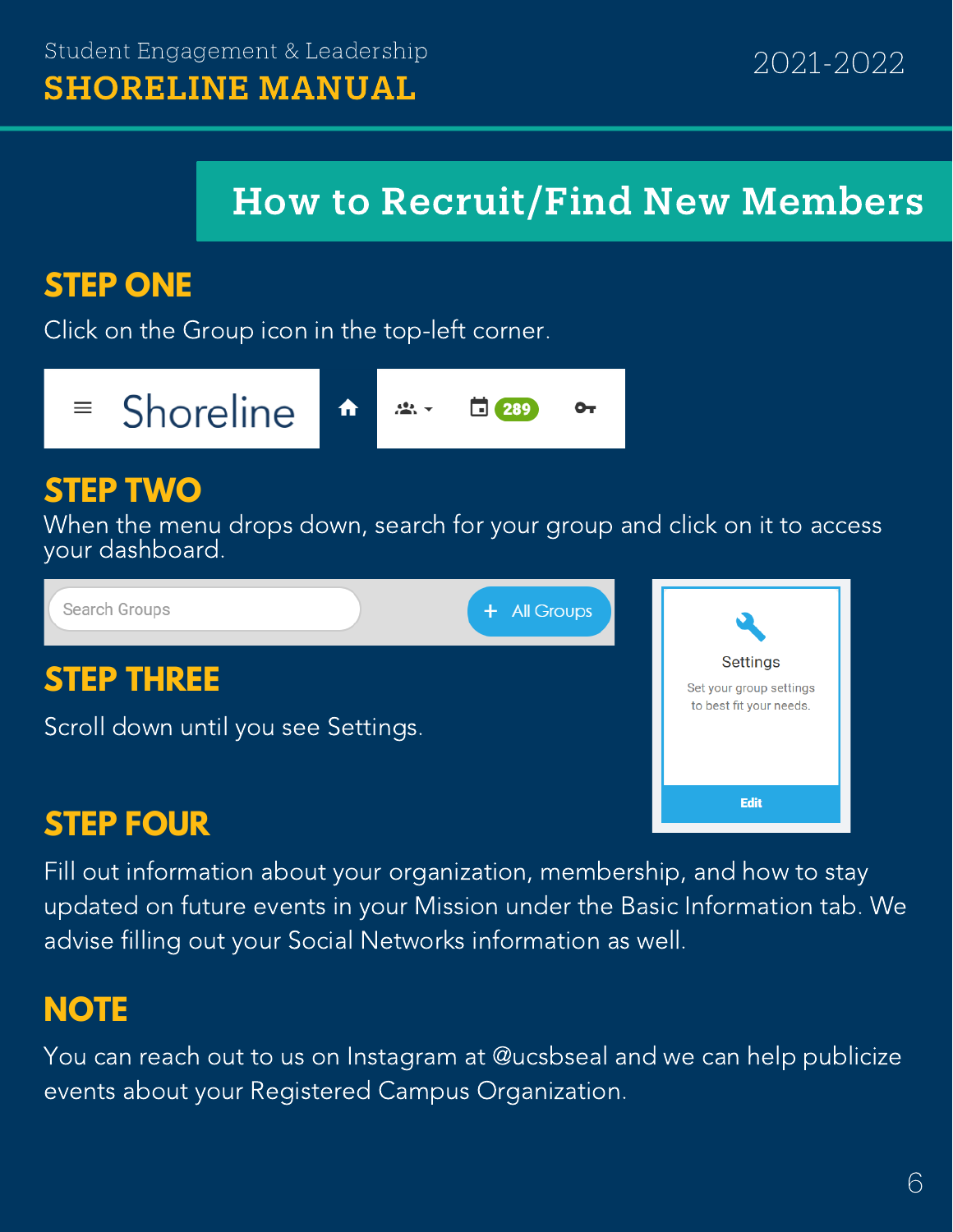# How to Recruit/Find New Members

### **STEP ONE**

Click on the Group icon in the top-left corner.

Shoreline  $\equiv$ 總一 289 ๛ ft

#### **STEP TWO**

When the menu drops down, search for your group and click on it to access your dashboard.

Search Groups + All Groups **Settings STEP THREE** Set your group settings to best fit your needs. Scroll down until you see Settings. Edit **STEP FOUR**

Fill out information about your organization, membership, and how to stay updated on future events in your Mission under the Basic Information tab. We advise filling out your Social Networks information as well.

# **NOTE**

You can reach out to us on Instagram at @ucsbseal and we can help publicize events about your Registered Campus Organization.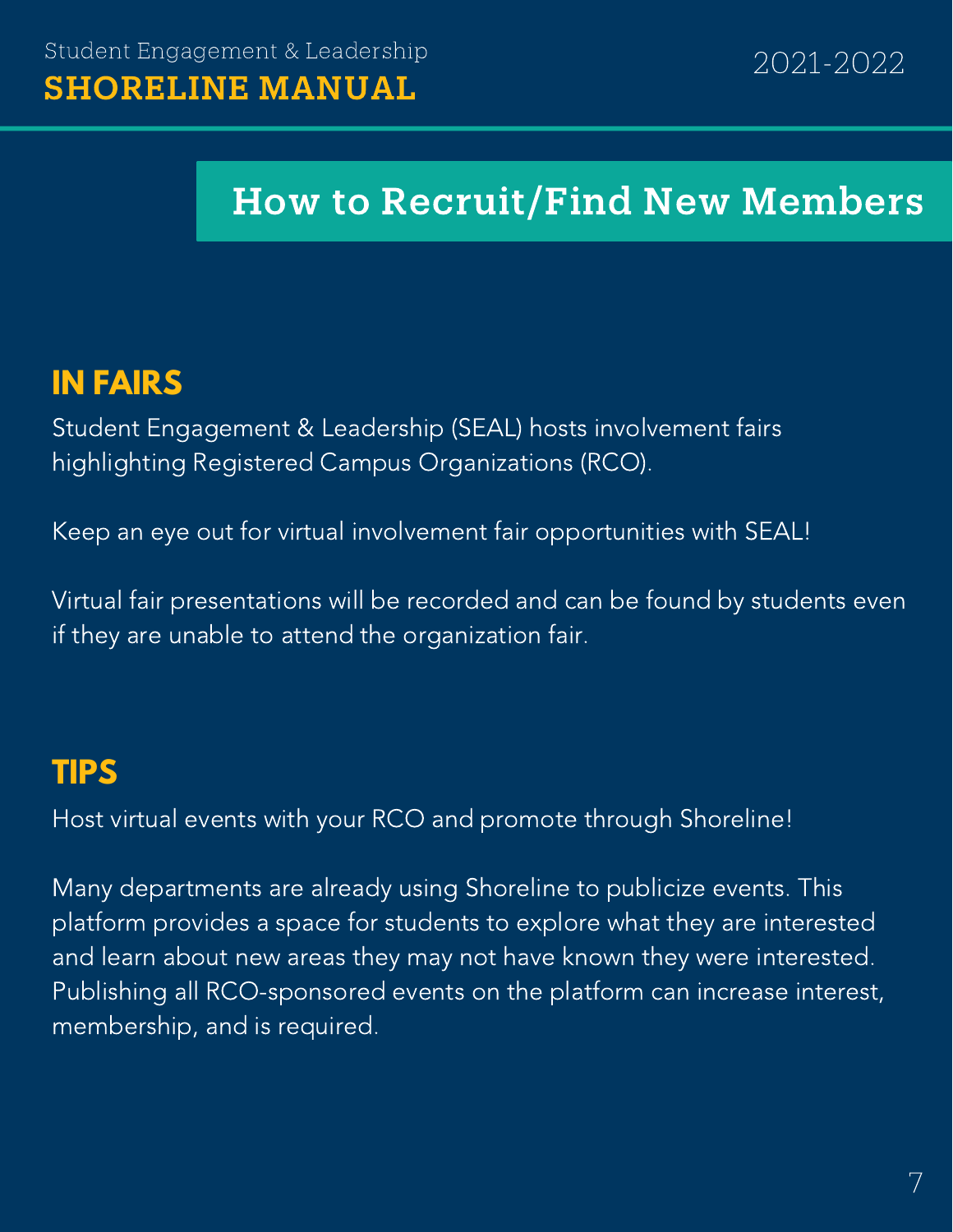# How to Recruit/Find New Members

#### **IN FAIRS**

Student Engagement & Leadership (SEAL) hosts involvement fairs highlighting Registered Campus Organizations (RCO).

Keep an eye out for virtual involvement fair opportunities with SEAL!

Virtual fair presentations will be recorded and can be found by students even if they are unable to attend the organization fair.

#### **TIPS**

Host virtual events with your RCO and promote through Shoreline!

Many departments are already using Shoreline to publicize events. This platform provides a space for students to explore what they are interested and learn about new areas they may not have known they were interested. Publishing all RCO-sponsored events on the platform can increase interest, membership, and is required.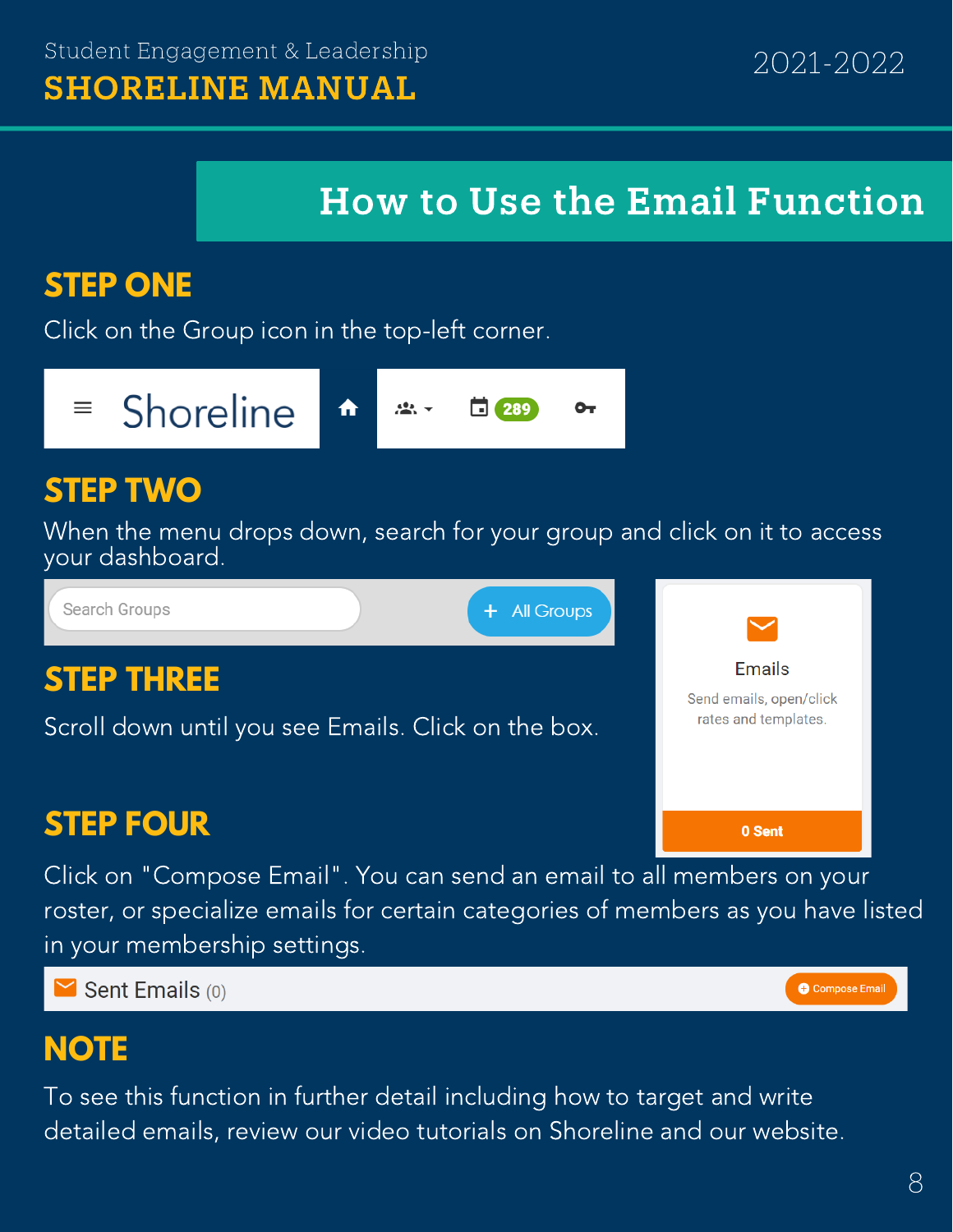**Fmails** Send emails, open/click rates and templates.

0 Sent

**O** Compose Email

## How to Use the Email Function

#### **STEP ONE**

Click on the Group icon in the top-left corner.

Shoreline 亖  $\frac{1}{2}$ 289 A ๛

#### **STEP TWO**

When the menu drops down, search for your group and click on it to access your dashboard.

+ All Groups

Search Groups

#### **STEP THREE**

Scroll down until you see Emails. Click on the box.

### **STEP FOUR**

Click on "Compose Email". You can send an email to all members on your roster, or specialize emails for certain categories of members as you have listed in your membership settings.

 $\blacktriangleright$  Sent Emails (0)

#### **NOTE**

To see this function in further detail including how to target and write detailed emails, review our video tutorials on Shoreline and our website.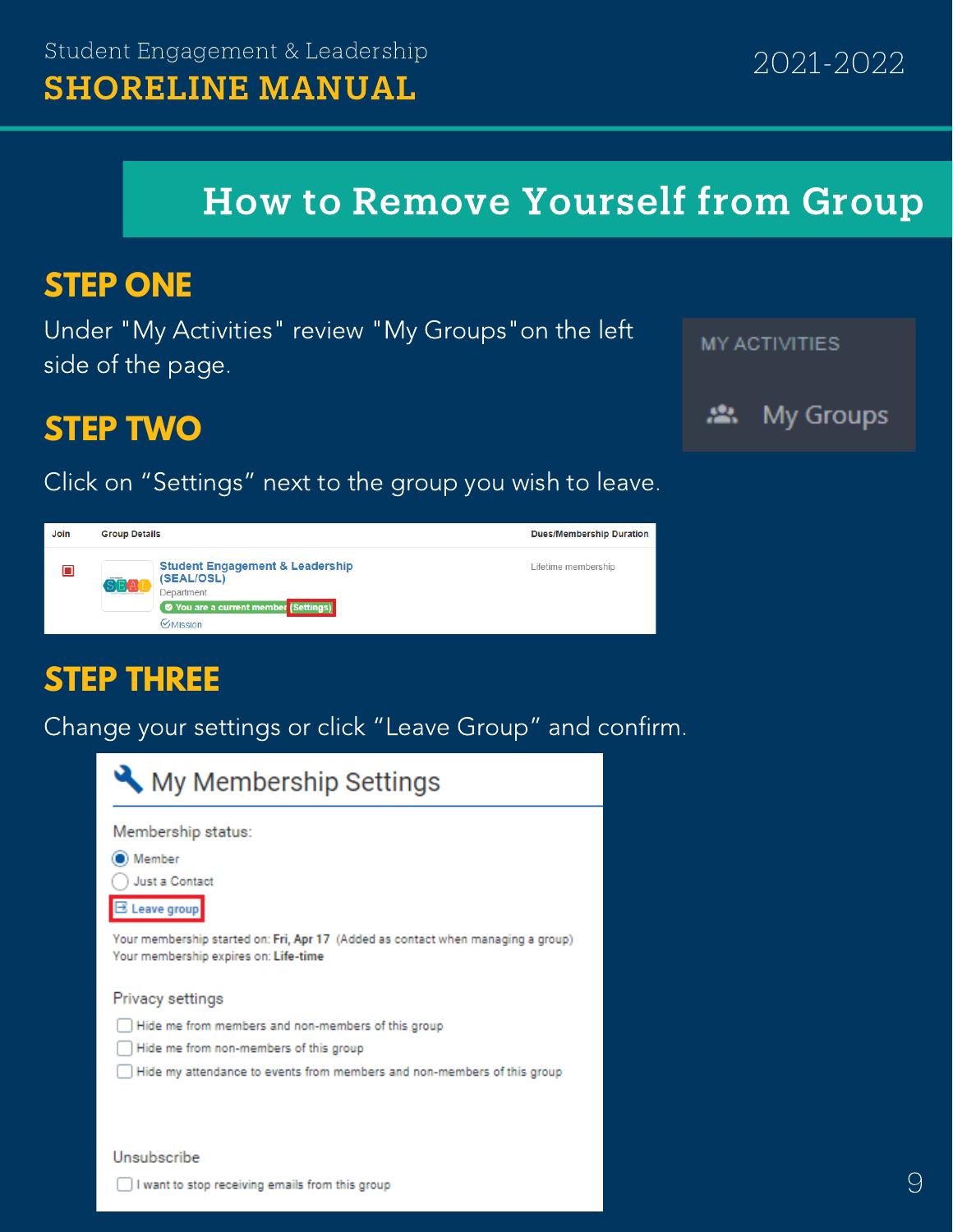### How to Remove Yourself from Group

#### **STEP ONE**

Under "My Activities" review "My Groups"on the left side of the page.



#### **STEP TWO**

Click on "Settings" next to the group you wish to leave.

Join **Group Details Dues/Membership Duration Student Engagement & Leadership** Lifetime membership  $\square$ (SEAL/OSL) .<br>Department ◯ You are a current member (Settings) **C**Mission

#### **STEP THREE**

Change your settings or click "Leave Group" and confirm.

|                              | Membership status:                                                                                                        |
|------------------------------|---------------------------------------------------------------------------------------------------------------------------|
| Member                       |                                                                                                                           |
|                              | Just a Contact                                                                                                            |
| $\overline{\Xi}$ Leave group |                                                                                                                           |
|                              | Your membership started on: Fri, Apr 17 (Added as contact when managing a group)<br>Your membership expires on: Life-time |
|                              | Privacy settings                                                                                                          |
|                              | Hide me from members and non-members of this group                                                                        |
|                              | Hide me from non-members of this group                                                                                    |
|                              | Hide my attendance to events from members and non-members of this group                                                   |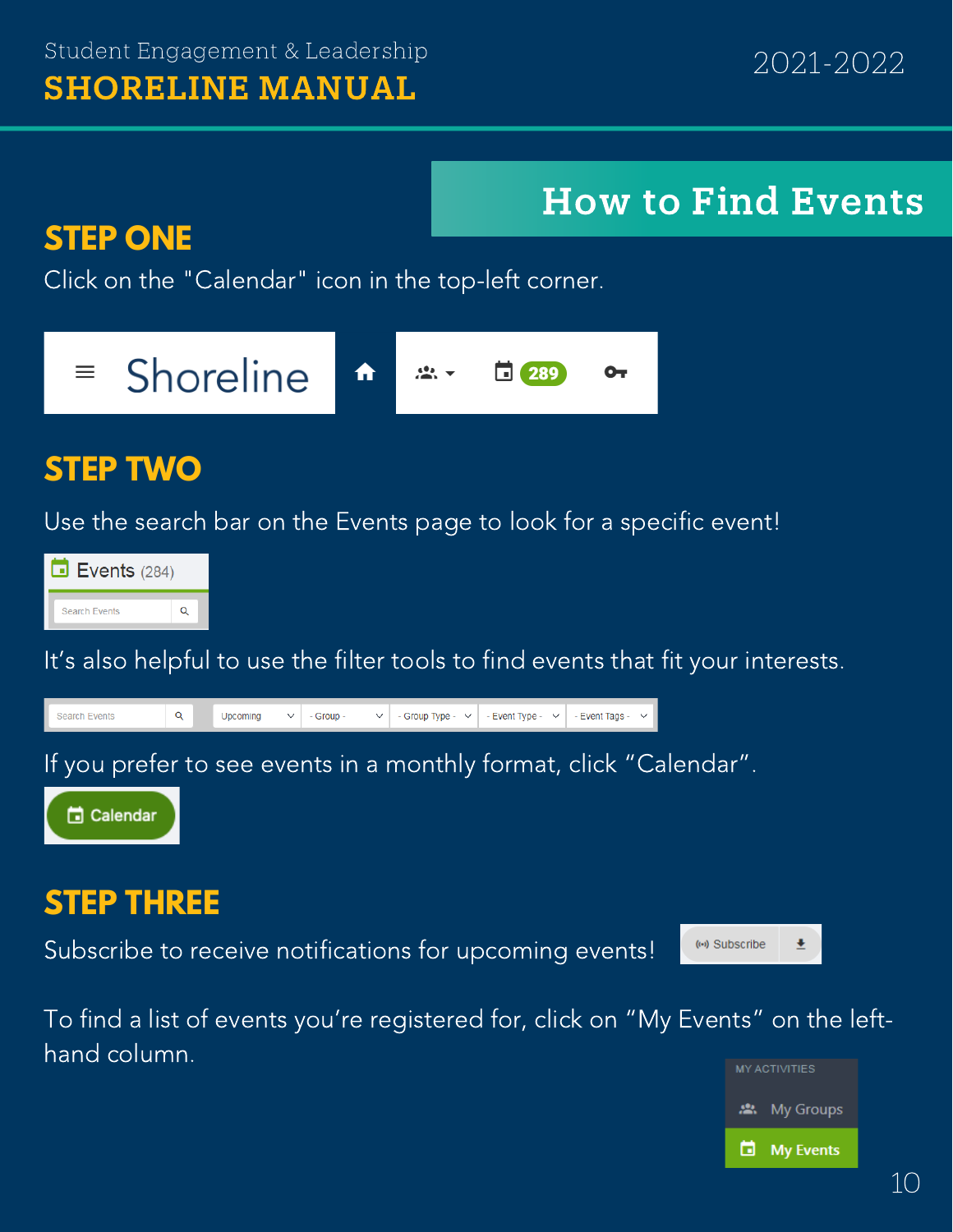# How to Find Events

#### **STEP ONE**

Click on the "Calendar" icon in the top-left corner.



#### **STEP TWO**

Use the search bar on the Events page to look for a specific event!



It's also helpful to use the filter tools to find events that fit your interests.



Subscribe to receive notifications for upcoming events!

To find a list of events you're registered for, click on "My Events" on the lefthand column.



士

(0) Subscribe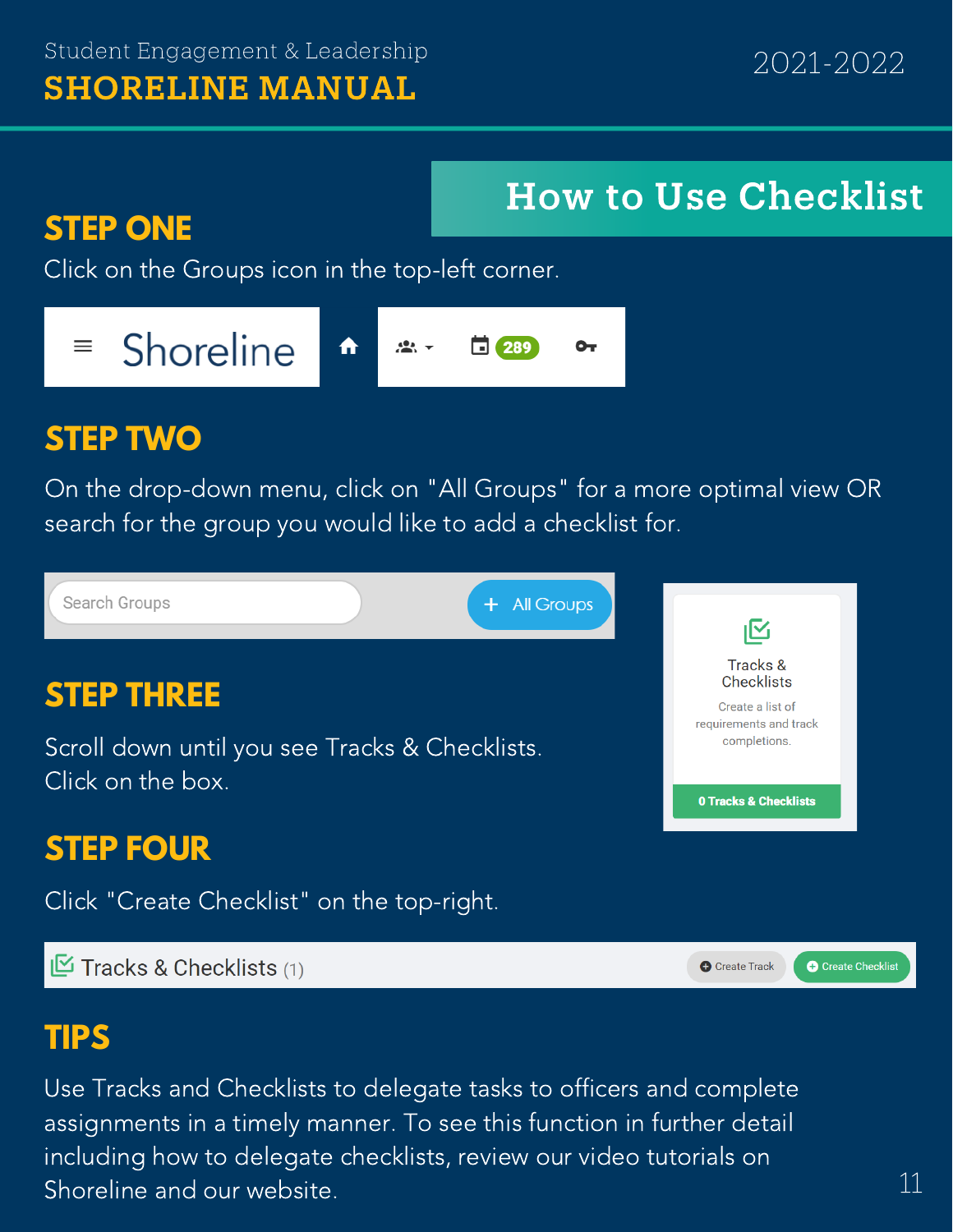# **STEP ONE**

How to Use Checklist

Click on the Groups icon in the top-left corner.

#### Shoreline  $\equiv$ 恐。 289  $\mathbf{O}_{\mathbf{T}}$ ⋔

## **STEP TWO**

On the drop-down menu, click on "All Groups" for a more optimal view OR search for the group you would like to add a checklist for.

Search Groups **All Groups** ı⊠ Tracks & **Checklists STEP THREE** Create a list of requirements and track completions. Scroll down until you see Tracks & Checklists. Click on the box. **0 Tracks & Checklists** 

### **STEP FOUR**

Click "Create Checklist" on the top-right.

 $\mathbb{E}$  Tracks & Checklists (1)

**O** Create Track

**O** Create Checklist

#### **TIPS**

Use Tracks and Checklists to delegate tasks to officers and complete assignments in a timely manner. To see this function in further detail including how to delegate checklists, review our video tutorials on Shoreline and our website.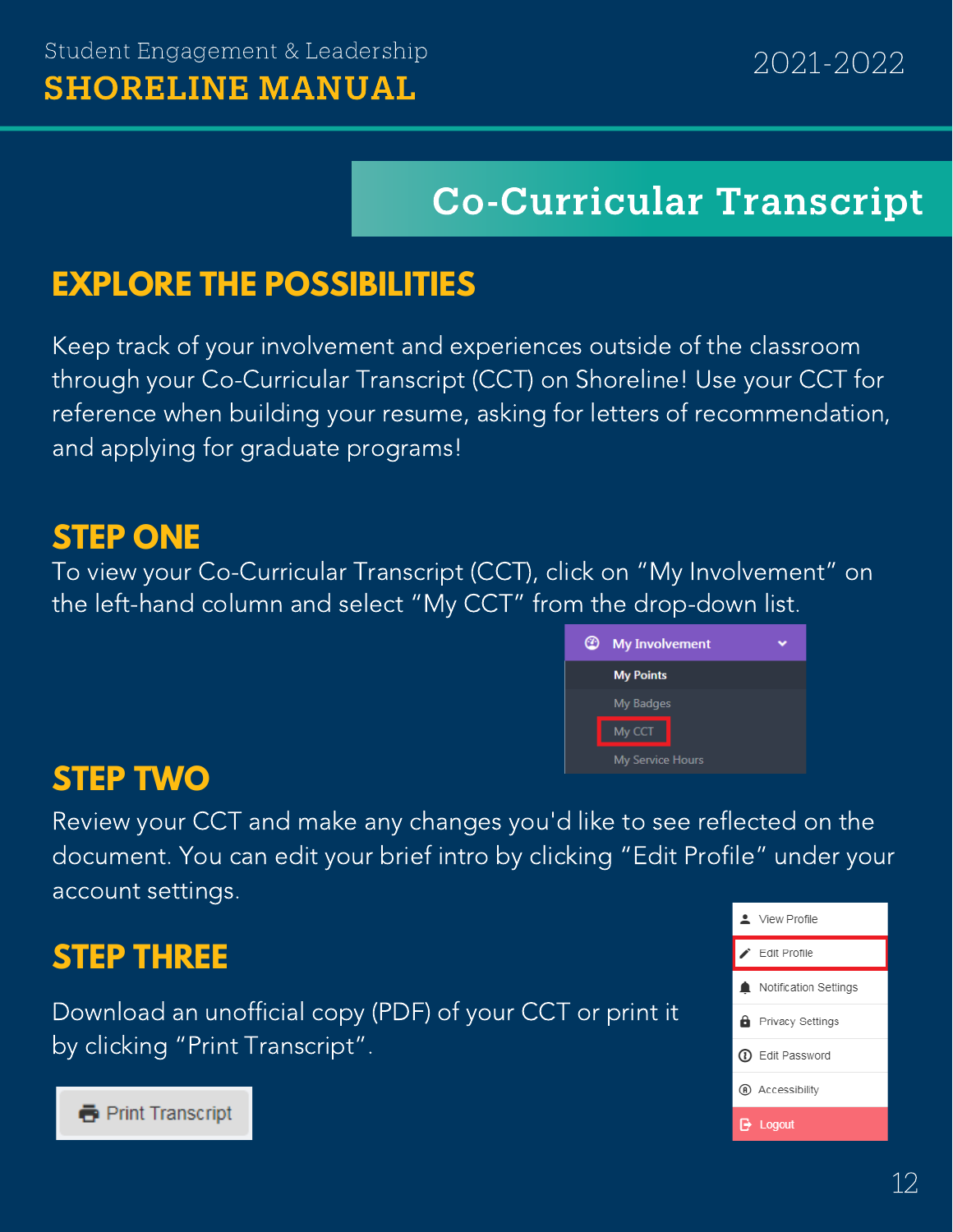# Co-Curricular Transcript

#### **EXPLORE THE POSSIBILITIES**

Keep track of your involvement and experiences outside of the classroom through your Co-Curricular Transcript (CCT) on Shoreline! Use your CCT for reference when building your resume, asking for letters of recommendation, and applying for graduate programs!

#### **STEP ONE**

To view your Co-Curricular Transcript (CCT), click on "My Involvement" on the left-hand column and select "My CCT" from the drop-down list.



#### **STEP TWO**

Review your CCT and make any changes you'd like to see reflected on the document. You can edit your brief intro by clicking "Edit Profile" under your account settings.

#### **STEP THREE**

Download an unofficial copy (PDF) of your CCT or print it by clicking "Print Transcript".



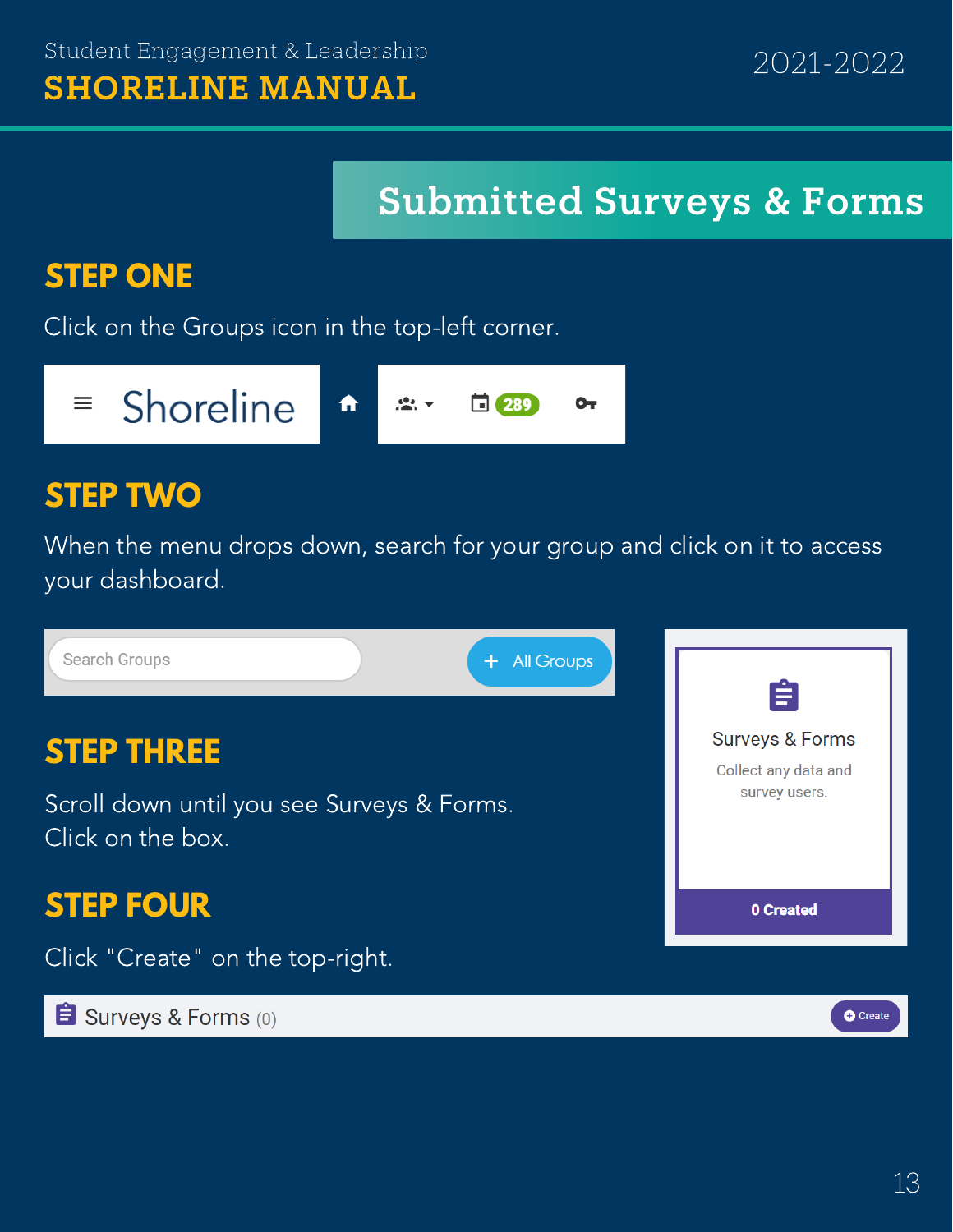# Submitted Surveys & Forms

## **STEP ONE**

Click on the Groups icon in the top-left corner.



#### **STEP TWO**

When the menu drops down, search for your group and click on it to access your dashboard.

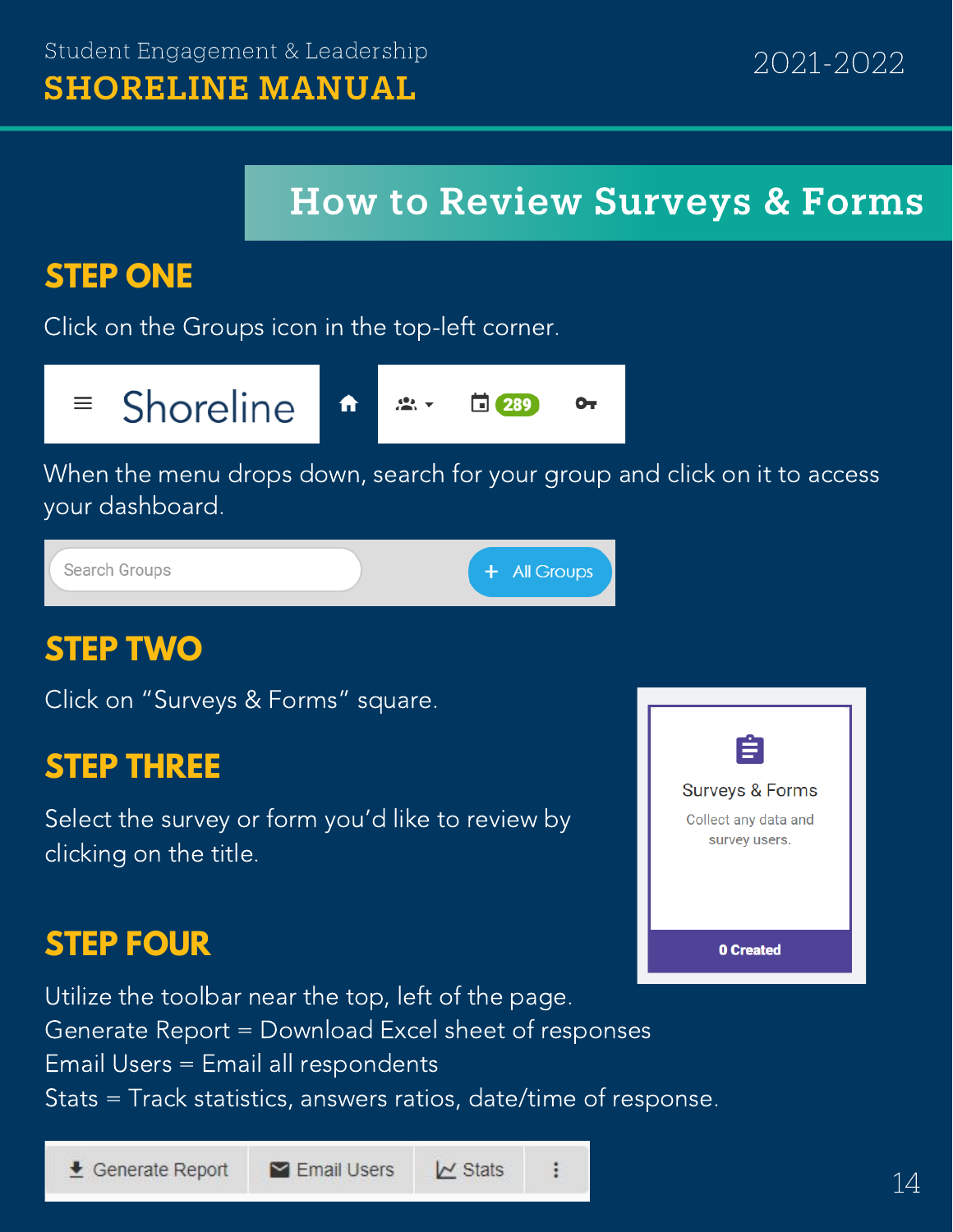## How to Review Surveys & Forms

### **STEP ONE**

Click on the Groups icon in the top-left corner.

# $\equiv$  Shoreline

⋔  $\frac{1}{2}$ ⊡ 289 ⊶

When the menu drops down, search for your group and click on it to access your dashboard.



#### **STEP TWO**

Click on "Surveys & Forms" square.

#### **STEP THREE**

Select the survey or form you'd like to review by clicking on the title.

#### **STEP FOUR**

Utilize the toolbar near the top, left of the page. Generate Report = Download Excel sheet of responses Email Users = Email all respondents Stats = Track statistics, answers ratios, date/time of response.



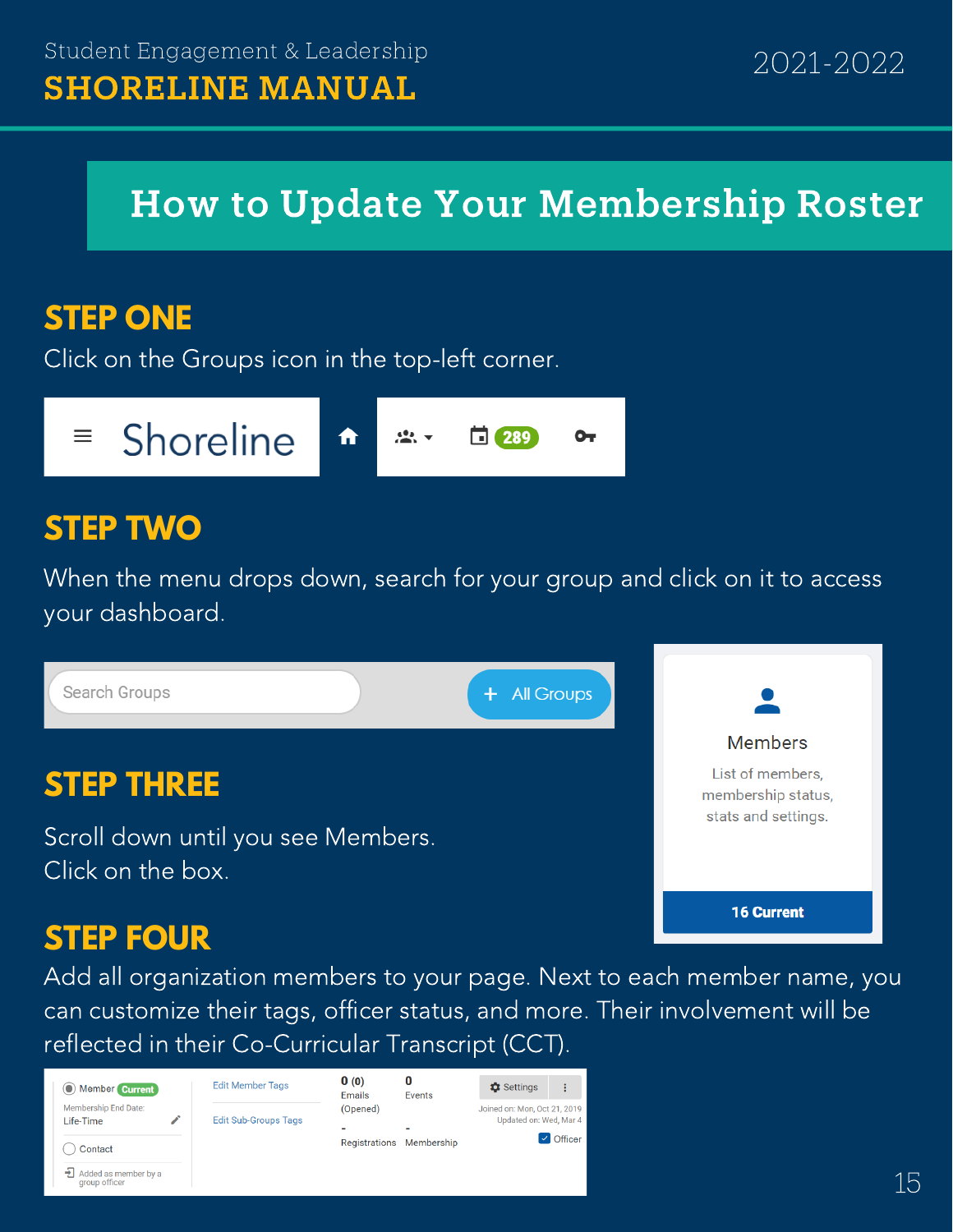# How to Update Your Membership Roster

#### **STEP ONE**

Click on the Groups icon in the top-left corner.



#### **STEP TWO**

When the menu drops down, search for your group and click on it to access your dashboard.



#### **STEP FOUR**

Add all organization members to your page. Next to each member name, you can customize their tags, officer status, and more. Their involvement will be reflected in their Co-Curricular Transcript (CCT).

| O Member Current                            | <b>Edit Member Tags</b>     | 0(0)<br>Emails | 0<br>Events | <b>C</b> Settings                                      | ፡                        |
|---------------------------------------------|-----------------------------|----------------|-------------|--------------------------------------------------------|--------------------------|
| Membership End Date:<br>Life-Time           | <b>Edit Sub-Groups Tags</b> | (Opened)       |             | Joined on: Mon, Oct 21, 2019<br>Updated on: Wed, Mar 4 |                          |
| Contact                                     |                             | Registrations  | Membership  |                                                        | $\triangleright$ Officer |
| Added as member by a<br>⇒⊩<br>group officer |                             |                |             |                                                        |                          |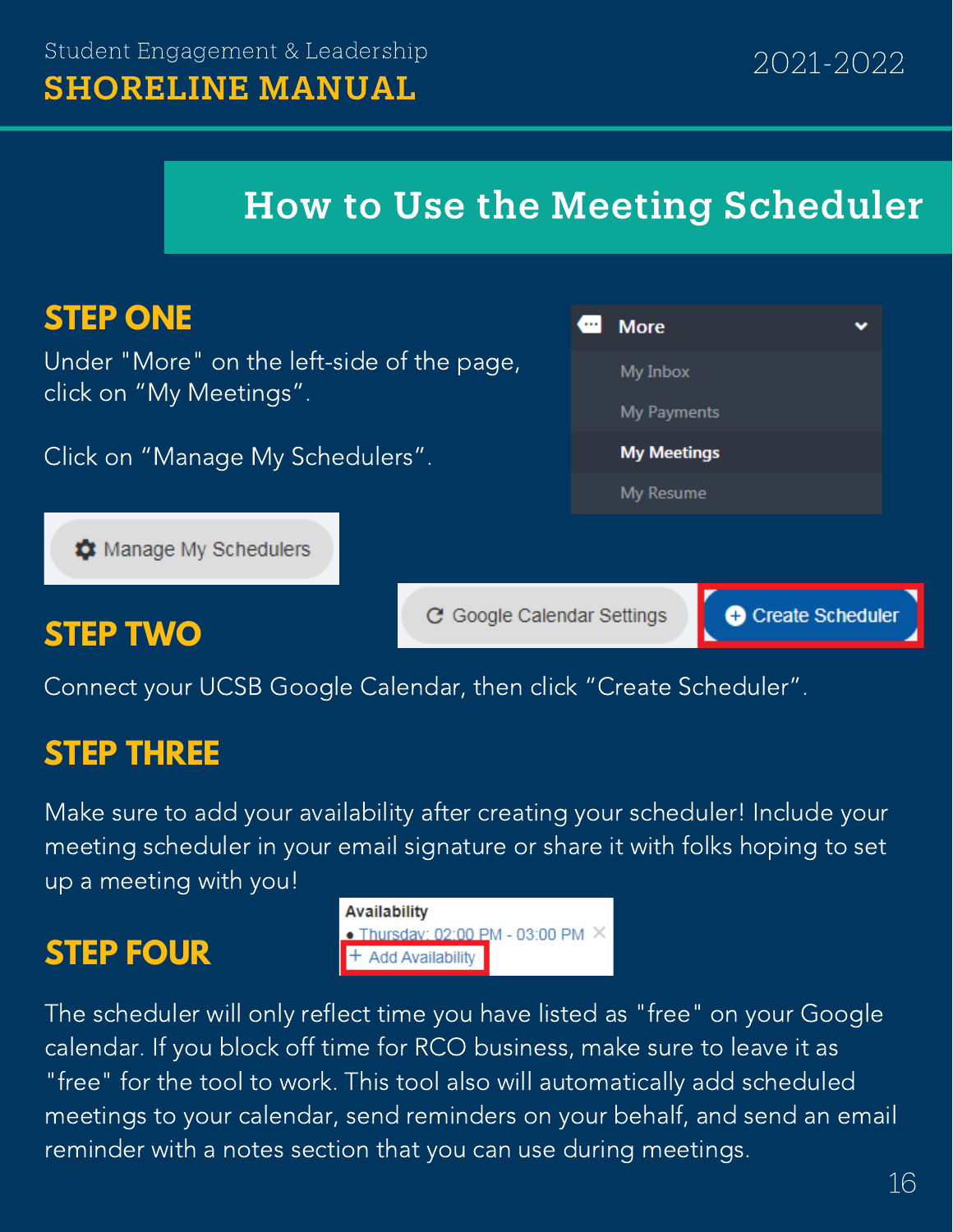### How to Use the Meeting Scheduler

| <b>STEP ONE</b>                                                       |                            | <b>More</b>             | v |
|-----------------------------------------------------------------------|----------------------------|-------------------------|---|
| Under "More" on the left-side of the page,<br>click on "My Meetings". |                            | My Inbox                |   |
|                                                                       |                            | My Payments             |   |
| Click on "Manage My Schedulers".                                      |                            | <b>My Meetings</b>      |   |
|                                                                       |                            | My Resume               |   |
| <b>X</b> Manage My Schedulers                                         |                            |                         |   |
| <b>STEP TWO</b>                                                       | C Google Calendar Settings | <b>Create Scheduler</b> |   |

Connect your UCSB Google Calendar, then click "Create Scheduler".

#### **STEP THREE**

Make sure to add your availability after creating your scheduler! Include your meeting scheduler in your email signature or share it with folks hoping to set up a meeting with you!

#### **STEP FOUR**

| <b>Availability</b>                      |  |
|------------------------------------------|--|
| • Thursday: 02:00 PM - 03:00 PM $\times$ |  |
| $+$ Add Availability                     |  |

The scheduler will only reflect time you have listed as "free" on your Google calendar. If you block off time for RCO business, make sure to leave it as "free" for the tool to work. This tool also will automatically add scheduled meetings to your calendar, send reminders on your behalf, and send an email reminder with a notes section that you can use during meetings.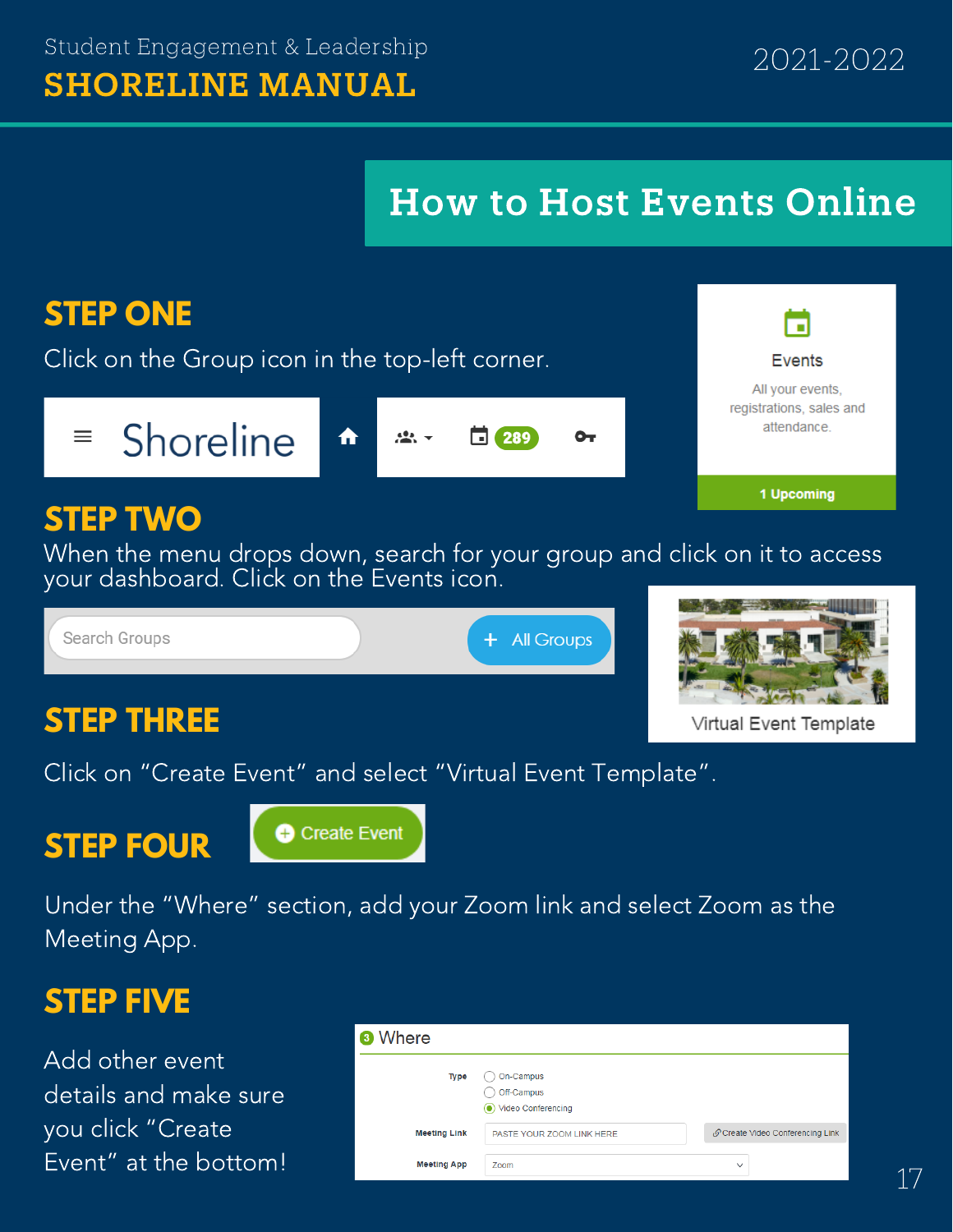## How to Host Events Online



Under the "Where" section, add your Zoom link and select Zoom as the Meeting App.

#### **STEP FIVE**

Add other event details and make sure you click "Create Event" at the bottom!

| <sup>3</sup> Where  |                                                            |                                  |
|---------------------|------------------------------------------------------------|----------------------------------|
| Type                | On-Campus<br>Off-Campus<br>Video Conferencing<br>$\bullet$ |                                  |
| <b>Meeting Link</b> | PASTE YOUR ZOOM LINK HERE                                  | S Create Video Conferencing Link |
| <b>Meeting App</b>  | Zoom                                                       | $\checkmark$                     |